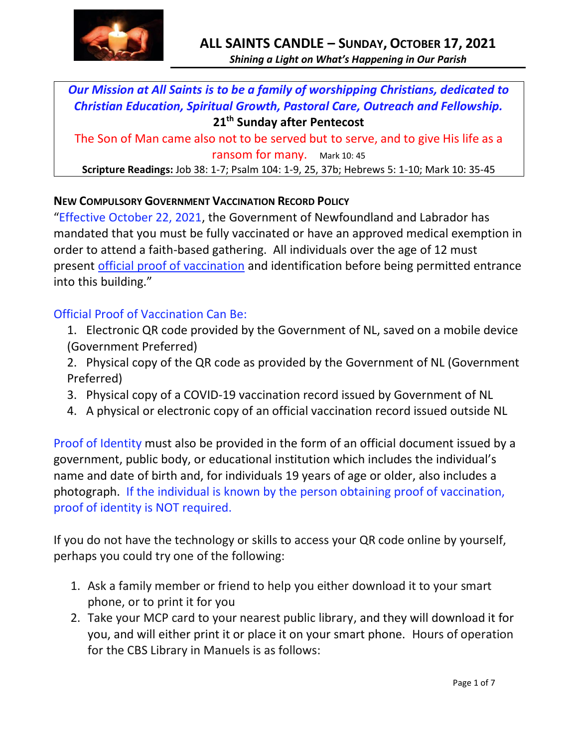

*Our Mission at All Saints is to be a family of worshipping Christians, dedicated to Christian Education, Spiritual Growth, Pastoral Care, Outreach and Fellowship.* **21 th Sunday after Pentecost**

The Son of Man came also not to be served but to serve, and to give His life as a ransom for many. Mark 10: 45

**Scripture Readings:** Job 38: 1-7; Psalm 104: 1-9, 25, 37b; Hebrews 5: 1-10; Mark 10: 35-45

### **NEW COMPULSORY GOVERNMENT VACCINATION RECORD POLICY**

"Effective October 22, 2021, the Government of Newfoundland and Labrador has mandated that you must be fully vaccinated or have an approved medical exemption in order to attend a faith-based gathering. All individuals over the age of 12 must present official proof of vaccination and identification before being permitted entrance into this building."

### Official Proof of Vaccination Can Be:

- 1. Electronic QR code provided by the Government of NL, saved on a mobile device (Government Preferred)
- 2. Physical copy of the QR code as provided by the Government of NL (Government Preferred)
- 3. Physical copy of a COVID-19 vaccination record issued by Government of NL
- 4. A physical or electronic copy of an official vaccination record issued outside NL

Proof of Identity must also be provided in the form of an official document issued by a government, public body, or educational institution which includes the individual's name and date of birth and, for individuals 19 years of age or older, also includes a photograph. If the individual is known by the person obtaining proof of vaccination, proof of identity is NOT required.

If you do not have the technology or skills to access your QR code online by yourself, perhaps you could try one of the following:

- 1. Ask a family member or friend to help you either download it to your smart phone, or to print it for you
- 2. Take your MCP card to your nearest public library, and they will download it for you, and will either print it or place it on your smart phone. Hours of operation for the CBS Library in Manuels is as follows: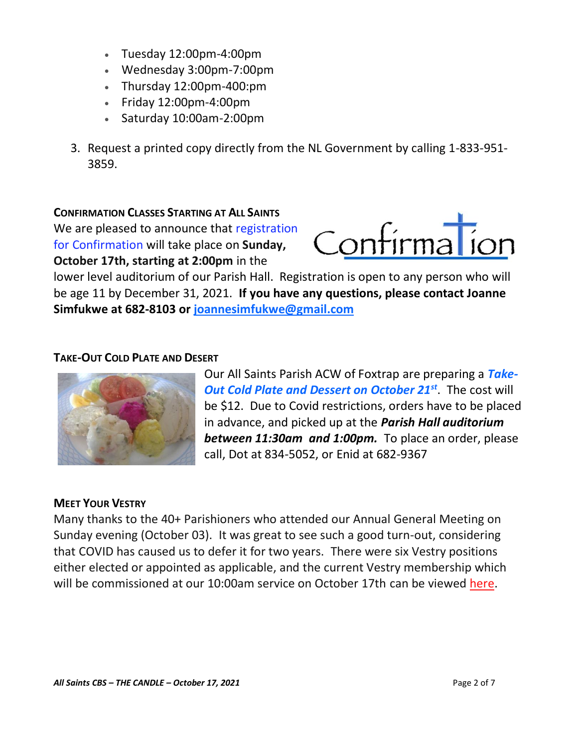- Tuesday 12:00pm-4:00pm
- Wednesday 3:00pm-7:00pm
- Thursday 12:00pm-400:pm
- Friday 12:00pm-4:00pm
- Saturday 10:00am-2:00pm
- 3. Request a printed copy directly from the NL Government by calling 1-833-951- 3859.

### **CONFIRMATION CLASSES STARTING AT ALL SAINTS**

We are pleased to announce that registration for Confirmation will take place on **Sunday, October 17th, starting at 2:00pm** in the



lower level auditorium of our Parish Hall. Registration is open to any person who will be age 11 by December 31, 2021. **If you have any questions, please contact Joanne Simfukwe at 682-8103 or [joannesimfukwe@gmail.com](mailto:joannesimfukwe@gmail.com)**

### **TAKE-OUT COLD PLATE AND DESERT**



Our All Saints Parish ACW of Foxtrap are preparing a *Take-Out Cold Plate and Dessert on October 21st*. The cost will be \$12. Due to Covid restrictions, orders have to be placed in advance, and picked up at the *Parish Hall auditorium between 11:30am and 1:00pm.* To place an order, please call, Dot at 834-5052, or Enid at 682-9367

#### **MEET YOUR VESTRY**

Many thanks to the 40+ Parishioners who attended our Annual General Meeting on Sunday evening (October 03). It was great to see such a good turn-out, considering that COVID has caused us to defer it for two years. There were six Vestry positions either elected or appointed as applicable, and the current Vestry membership which will be commissioned at our 10:00am service on October 17th can be viewed [here.](http://allsaintsparish.ca/document_library/All%20Saints%20Vestry%20Membership%20211003.pdf)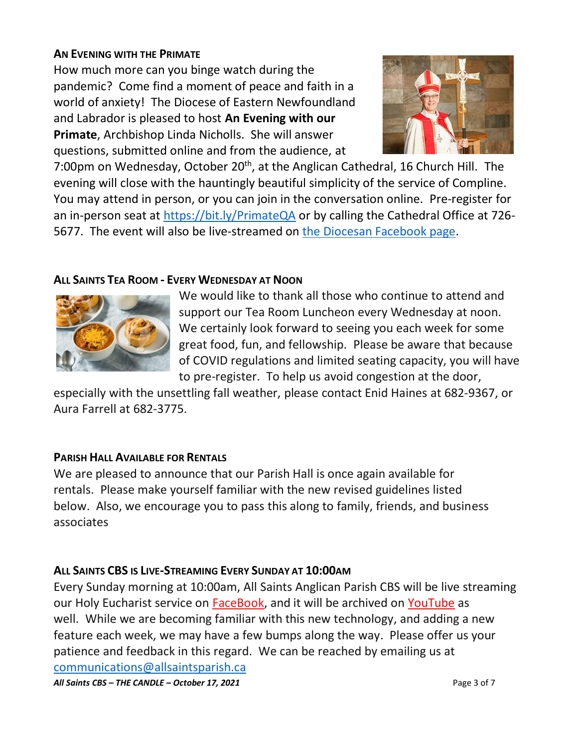## **AN EVENING WITH THE PRIMATE**

How much more can you binge watch during the pandemic? Come find a moment of peace and faith in a world of anxiety! The Diocese of Eastern Newfoundland and Labrador is pleased to host **An Evening with our Primate**, Archbishop Linda Nicholls. She will answer questions, submitted online and from the audience, at



7:00pm on Wednesday, October 20<sup>th</sup>, at the Anglican Cathedral, 16 Church Hill. The evening will close with the hauntingly beautiful simplicity of the service of Compline. You may attend in person, or you can join in the conversation online. Pre-register for an in-person seat at<https://bit.ly/PrimateQA> or by calling the Cathedral Office at 726 5677. The event will also be live-streamed on [the Diocesan Facebook page.](http://fb.com/anglicaneastnl)

# **ALL SAINTS TEA ROOM - EVERY WEDNESDAY AT NOON**



We would like to thank all those who continue to attend and support our Tea Room Luncheon every Wednesday at noon. We certainly look forward to seeing you each week for some great food, fun, and fellowship. Please be aware that because of COVID regulations and limited seating capacity, you will have to pre-register. To help us avoid congestion at the door,

especially with the unsettling fall weather, please contact Enid Haines at 682-9367, or Aura Farrell at 682-3775.

# **PARISH HALL AVAILABLE FOR RENTALS**

We are pleased to announce that our Parish Hall is once again available for rentals. Please make yourself familiar with the new revised guidelines listed below. Also, we encourage you to pass this along to family, friends, and business associates

# **ALL SAINTS CBS IS LIVE-STREAMING EVERY SUNDAY AT 10:00AM**

Every Sunday morning at 10:00am, All Saints Anglican Parish CBS will be live streaming our Holy Eucharist service on [FaceBook,](https://www.facebook.com/AllSaintsAnglicanChurchCBS) and it will be archived on [YouTube](https://www.youtube.com/results?search_query=all+saints+anglican+parish+cbs) as well. While we are becoming familiar with this new technology, and adding a new feature each week, we may have a few bumps along the way. Please offer us your patience and feedback in this regard. We can be reached by emailing us at [communications@allsaintsparish.ca](mailto:communications@allsaintsparish.ca?subject=Live%20Streaming%20Feedback)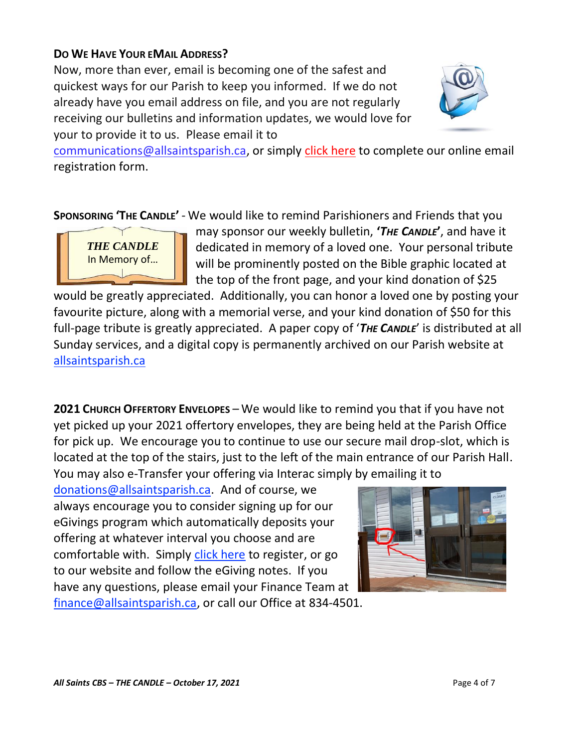## **DO WE HAVE YOUR EMAIL ADDRESS?**

Now, more than ever, email is becoming one of the safest and quickest ways for our Parish to keep you informed. If we do not already have you email address on file, and you are not regularly receiving our bulletins and information updates, we would love for your to provide it to us. Please email it to



[communications@allsaintsparish.ca,](mailto:communications@allsaintsparish.ca?subject=eMail%20Address%20Update) or simply [click here](http://allsaintsparish.ca/email_updates) to complete our online email registration form.

**SPONSORING 'THE CANDLE'** - We would like to remind Parishioners and Friends that you



may sponsor our weekly bulletin, **'***THE CANDLE***'**, and have it dedicated in memory of a loved one. Your personal tribute will be prominently posted on the Bible graphic located at the top of the front page, and your kind donation of \$25

would be greatly appreciated. Additionally, you can honor a loved one by posting your favourite picture, along with a memorial verse, and your kind donation of \$50 for this full-page tribute is greatly appreciated. A paper copy of '*THE CANDLE*' is distributed at all Sunday services, and a digital copy is permanently archived on our Parish website at [allsaintsparish.ca](http://allsaintsparish.ca/thecandle.html)

**2021 CHURCH OFFERTORY ENVELOPES** – We would like to remind you that if you have not yet picked up your 2021 offertory envelopes, they are being held at the Parish Office for pick up. We encourage you to continue to use our secure mail drop-slot, which is located at the top of the stairs, just to the left of the main entrance of our Parish Hall. You may also e-Transfer your offering via Interac simply by emailing it to

[donations@allsaintsparish.ca.](mailto:donations@allsaintsparish.ca) And of course, we always encourage you to consider signing up for our eGivings program which automatically deposits your offering at whatever interval you choose and are comfortable with. Simply [click here](http://allsaintsparish.ca/egiving-online-information-form) to register, or go to our website and follow the eGiving notes. If you have [any](https://wfsites-to.websitecreatorprotool.com/870a5dd5.com/Admin/%7BSK_NODEID__22939341__SK%7D) questions, please email your Finance Team at [finance@allsaintsparish.ca,](mailto:finance@allsaintsparish.ca) or call our Office at 834-4501.

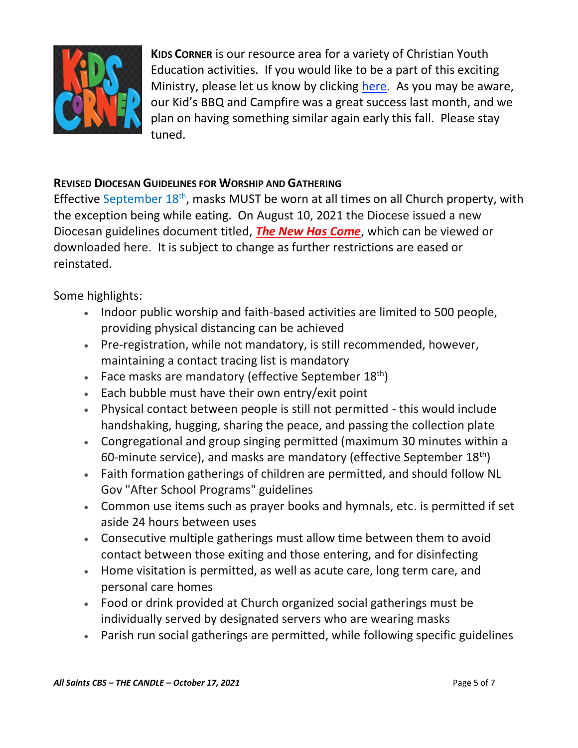

**KIDS CORNER** is our resource area for a variety of Christian Youth Education activities. If you would like to be a part of this exciting Ministry, please let us know by clicking [here.](http://allsaintsparish.ca/index.html#comments) As you may be aware, our Kid's BBQ and Campfire was a great success last month, and we plan on having something similar again early this fall. Please stay tuned.

## **REVISED DIOCESAN GUIDELINES FOR WORSHIP AND GATHERING**

Effective September  $18<sup>th</sup>$ , masks MUST be worn at all times on all Church property, with the exception being while eating. On August 10, 2021 the Diocese issued a new Diocesan guidelines document titled, *[The New Has Come](https://anglicanenl.net/home/wp-content/uploads/2021/08/The-New-Has-Come-August-10-2021.pdf?fbclid=IwAR2_9nhbxB2LEc3XOqAP_nvoRu4G5Mt6NWIYwOEYNI0OtUl0atv2QwCfCY0)*, which can be viewed or downloaded here. It is subject to change as further restrictions are eased or reinstated.

Some highlights:

- Indoor public worship and faith-based activities are limited to 500 people, providing physical distancing can be achieved
- Pre-registration, while not mandatory, is still recommended, however, maintaining a contact tracing list is mandatory
- Face masks are mandatory (effective September  $18<sup>th</sup>$ )
- Each bubble must have their own entry/exit point
- Physical contact between people is still not permitted this would include handshaking, hugging, sharing the peace, and passing the collection plate
- Congregational and group singing permitted (maximum 30 minutes within a 60-minute service), and masks are mandatory (effective September  $18<sup>th</sup>$ )
- Faith formation gatherings of children are permitted, and should follow NL Gov "After School Programs" guidelines
- Common use items such as prayer books and hymnals, etc. is permitted if set aside 24 hours between uses
- Consecutive multiple gatherings must allow time between them to avoid contact between those exiting and those entering, and for disinfecting
- Home visitation is permitted, as well as acute care, long term care, and personal care homes
- Food or drink provided at Church organized social gatherings must be individually served by designated servers who are wearing masks
- Parish run social gatherings are permitted, while following specific guidelines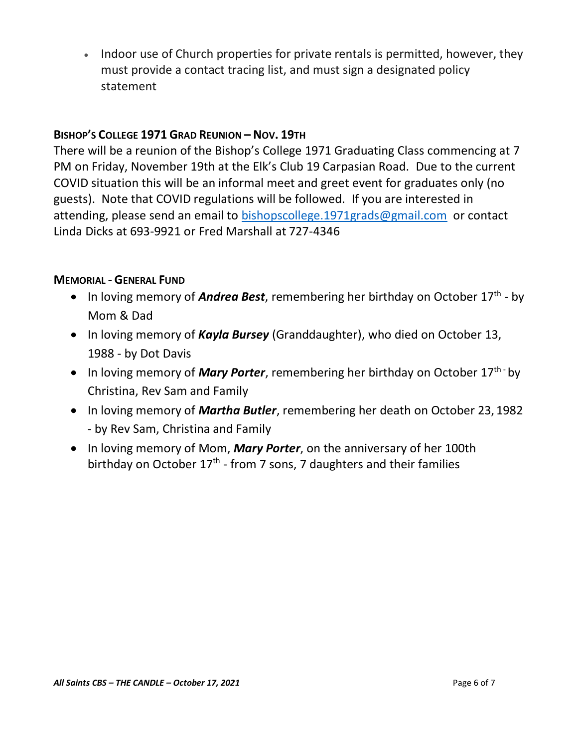• Indoor use of Church properties for private rentals is permitted, however, they must provide a contact tracing list, and must sign a designated policy statement

## **BISHOP'S COLLEGE 1971 GRAD REUNION – NOV. 19TH**

There will be a reunion of the Bishop's College 1971 Graduating Class commencing at 7 PM on Friday, November 19th at the Elk's Club 19 Carpasian Road. Due to the current COVID situation this will be an informal meet and greet event for graduates only (no guests). Note that COVID regulations will be followed. If you are interested in attending, please send an email to [bishopscollege.1971grads@gmail.com](mailto:bishopscollege.1971grads@gmail.com) or contact Linda Dicks at 693-9921 or Fred Marshall at 727-4346

## **MEMORIAL - GENERAL FUND**

- In loving memory of *Andrea Best*, remembering her birthday on October 17<sup>th</sup> by Mom & Dad
- In loving memory of *Kayla Bursey* (Granddaughter), who died on October 13, 1988 - by Dot Davis
- In loving memory of **Mary Porter**, remembering her birthday on October 17<sup>th -</sup> by Christina, Rev Sam and Family
- In loving memory of *Martha Butler*, remembering her death on October 23, 1982 - by Rev Sam, Christina and Family
- In loving memory of Mom, *Mary Porter*, on the anniversary of her 100th birthday on October 17<sup>th</sup> - from 7 sons, 7 daughters and their families